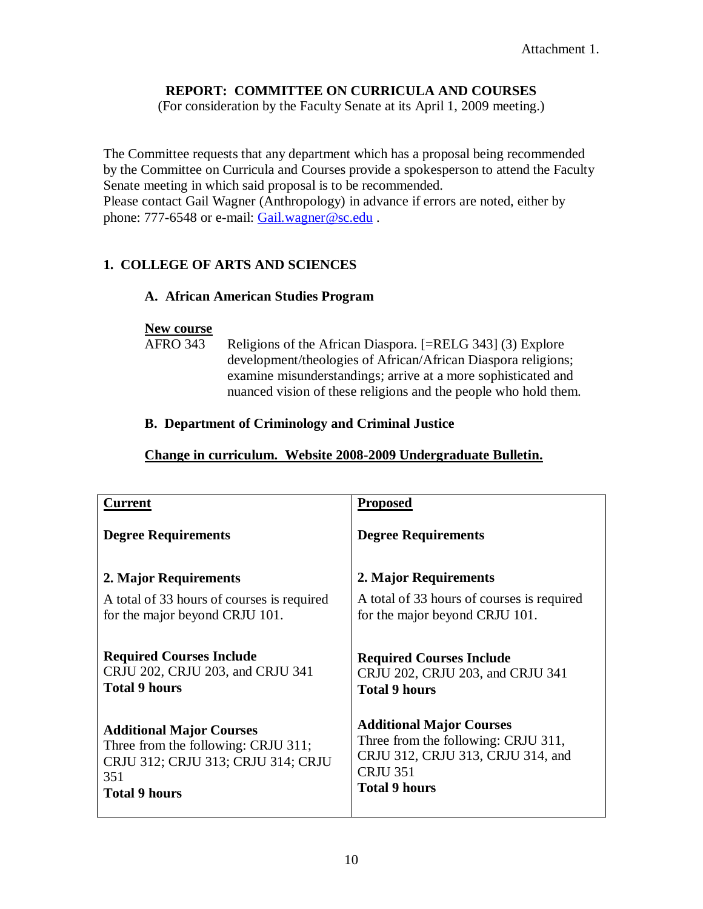# **REPORT: COMMITTEE ON CURRICULA AND COURSES**

(For consideration by the Faculty Senate at its April 1, 2009 meeting.)

The Committee requests that any department which has a proposal being recommended by the Committee on Curricula and Courses provide a spokesperson to attend the Faculty Senate meeting in which said proposal is to be recommended. Please contact Gail Wagner (Anthropology) in advance if errors are noted, either by phone: 777-6548 or e-mail: [Gail.wagner@sc.edu](mailto:Gail.wagner@sc.edu).

# **1. COLLEGE OF ARTS AND SCIENCES**

## **A. African American Studies Program**

## **New course**

AFRO 343 Religions of the African Diaspora. [=RELG 343] (3) Explore development/theologies of African/African Diaspora religions; examine misunderstandings; arrive at a more sophisticated and nuanced vision of these religions and the people who hold them.

## **B. Department of Criminology and Criminal Justice**

# **Change in curriculum. Website 2008-2009 Undergraduate Bulletin.**

| <b>Current</b>                             | <b>Proposed</b>                            |
|--------------------------------------------|--------------------------------------------|
| <b>Degree Requirements</b>                 | <b>Degree Requirements</b>                 |
| 2. Major Requirements                      | 2. Major Requirements                      |
| A total of 33 hours of courses is required | A total of 33 hours of courses is required |
| for the major beyond CRJU 101.             | for the major beyond CRJU 101.             |
| <b>Required Courses Include</b>            | <b>Required Courses Include</b>            |
| CRJU 202, CRJU 203, and CRJU 341           | CRJU 202, CRJU 203, and CRJU 341           |
| <b>Total 9 hours</b>                       | <b>Total 9 hours</b>                       |
| <b>Additional Major Courses</b>            | <b>Additional Major Courses</b>            |
| Three from the following: CRJU 311;        | Three from the following: CRJU 311,        |
| CRJU 312; CRJU 313; CRJU 314; CRJU         | CRJU 312, CRJU 313, CRJU 314, and          |
| 351                                        | <b>CRJU 351</b>                            |
| <b>Total 9 hours</b>                       | <b>Total 9 hours</b>                       |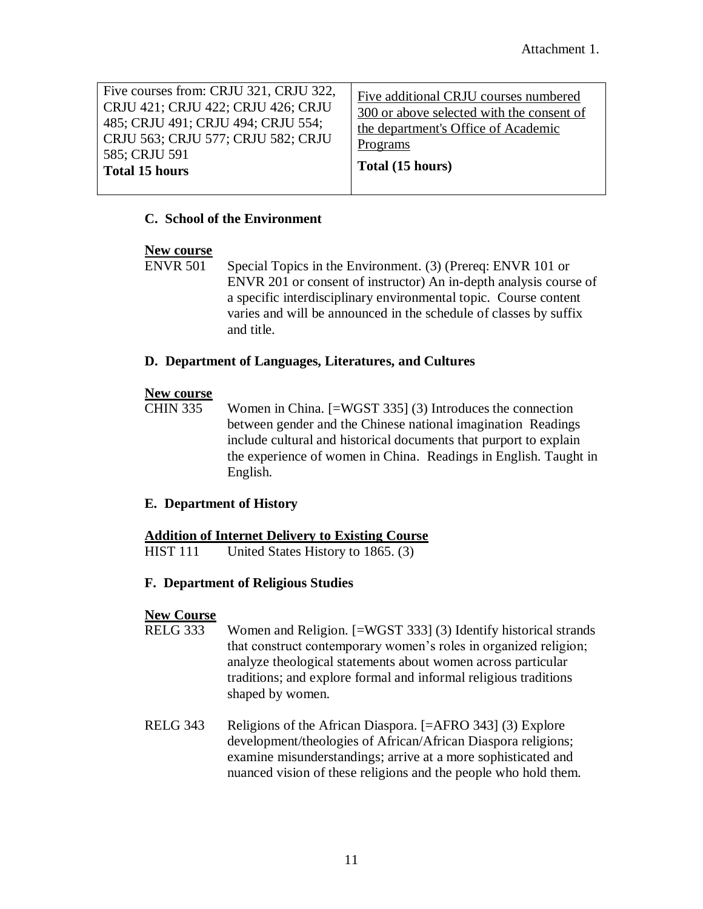| Five courses from: CRJU 321, CRJU 322,<br>CRJU 421; CRJU 422; CRJU 426; CRJU<br>485; CRJU 491; CRJU 494; CRJU 554;<br>CRJU 563; CRJU 577; CRJU 582; CRJU<br>585; CRJU 591<br><b>Total 15 hours</b> | Five additional CRJU courses numbered<br>300 or above selected with the consent of<br>the department's Office of Academic<br>Programs<br>Total (15 hours) |
|----------------------------------------------------------------------------------------------------------------------------------------------------------------------------------------------------|-----------------------------------------------------------------------------------------------------------------------------------------------------------|
|----------------------------------------------------------------------------------------------------------------------------------------------------------------------------------------------------|-----------------------------------------------------------------------------------------------------------------------------------------------------------|

## **C. School of the Environment**

#### **New course**

ENVR 501 Special Topics in the Environment. (3) (Prereq: ENVR 101 or ENVR 201 or consent of instructor) An in-depth analysis course of a specific interdisciplinary environmental topic. Course content varies and will be announced in the schedule of classes by suffix and title.

#### **D. Department of Languages, Literatures, and Cultures**

#### **New course**

CHIN 335 Women in China. [=WGST 335] (3) Introduces the connection between gender and the Chinese national imagination Readings include cultural and historical documents that purport to explain the experience of women in China. Readings in English. Taught in English.

## **E. Department of History**

#### **Addition of Internet Delivery to Existing Course**

HIST 111 United States History to 1865. (3)

## **F. Department of Religious Studies**

## **New Course**

- RELG 333 Women and Religion. [=WGST 333] (3) Identify historical strands that construct contemporary women's roles in organized religion; analyze theological statements about women across particular traditions; and explore formal and informal religious traditions shaped by women.
- RELG 343 Religions of the African Diaspora. [=AFRO 343] (3) Explore development/theologies of African/African Diaspora religions; examine misunderstandings; arrive at a more sophisticated and nuanced vision of these religions and the people who hold them.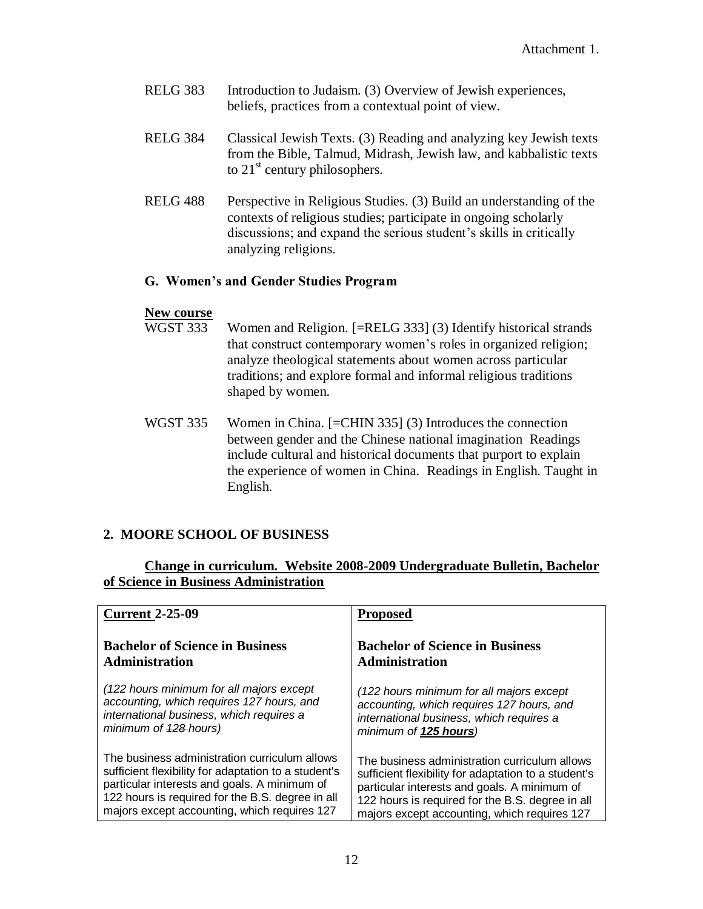- RELG 383 Introduction to Judaism. (3) Overview of Jewish experiences, beliefs, practices from a contextual point of view.
- RELG 384 Classical Jewish Texts. (3) Reading and analyzing key Jewish texts from the Bible, Talmud, Midrash, Jewish law, and kabbalistic texts to  $21<sup>st</sup>$  century philosophers.
- RELG 488 Perspective in Religious Studies. (3) Build an understanding of the contexts of religious studies; participate in ongoing scholarly discussions; and expand the serious student's skills in critically analyzing religions.

## **G. Women's and Gender Studies Program**

# **New course**

- Women and Religion.  $[=RELG 333]$  (3) Identify historical strands that construct contemporary women's roles in organized religion; analyze theological statements about women across particular traditions; and explore formal and informal religious traditions shaped by women.
- WGST 335 Women in China. [=CHIN 335] (3) Introduces the connection between gender and the Chinese national imagination Readings include cultural and historical documents that purport to explain the experience of women in China. Readings in English. Taught in English.

# **2. MOORE SCHOOL OF BUSINESS**

## **Change in curriculum. Website 2008-2009 Undergraduate Bulletin, Bachelor of Science in Business Administration**

| <b>Current 2-25-09</b>                               | <b>Proposed</b>                                      |
|------------------------------------------------------|------------------------------------------------------|
| <b>Bachelor of Science in Business</b>               | <b>Bachelor of Science in Business</b>               |
| <b>Administration</b>                                | <b>Administration</b>                                |
| (122 hours minimum for all majors except             | (122 hours minimum for all majors except             |
| accounting, which requires 127 hours, and            | accounting, which requires 127 hours, and            |
| international business, which requires a             | international business, which requires a             |
| minimum of 428-hours)                                | minimum of 125 hours)                                |
| The business administration curriculum allows        | The business administration curriculum allows        |
| sufficient flexibility for adaptation to a student's | sufficient flexibility for adaptation to a student's |
| particular interests and goals. A minimum of         | particular interests and goals. A minimum of         |
| 122 hours is required for the B.S. degree in all     | 122 hours is required for the B.S. degree in all     |
| majors except accounting, which requires 127         | majors except accounting, which requires 127         |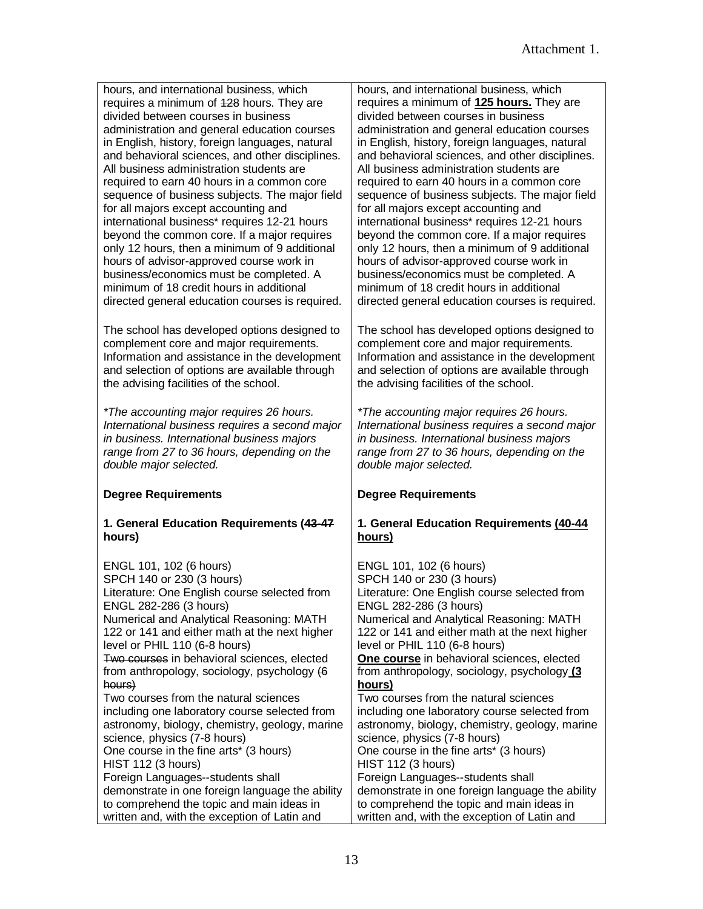| hours, and international business, which<br>requires a minimum of 428 hours. They are<br>divided between courses in business<br>administration and general education courses<br>in English, history, foreign languages, natural<br>and behavioral sciences, and other disciplines.<br>All business administration students are<br>required to earn 40 hours in a common core                                                 | hours, and international business, which<br>requires a minimum of 125 hours. They are<br>divided between courses in business<br>administration and general education courses<br>in English, history, foreign languages, natural<br>and behavioral sciences, and other disciplines.<br>All business administration students are<br>required to earn 40 hours in a common core                                                 |
|------------------------------------------------------------------------------------------------------------------------------------------------------------------------------------------------------------------------------------------------------------------------------------------------------------------------------------------------------------------------------------------------------------------------------|------------------------------------------------------------------------------------------------------------------------------------------------------------------------------------------------------------------------------------------------------------------------------------------------------------------------------------------------------------------------------------------------------------------------------|
| sequence of business subjects. The major field<br>for all majors except accounting and<br>international business* requires 12-21 hours<br>beyond the common core. If a major requires<br>only 12 hours, then a minimum of 9 additional<br>hours of advisor-approved course work in<br>business/economics must be completed. A<br>minimum of 18 credit hours in additional<br>directed general education courses is required. | sequence of business subjects. The major field<br>for all majors except accounting and<br>international business* requires 12-21 hours<br>beyond the common core. If a major requires<br>only 12 hours, then a minimum of 9 additional<br>hours of advisor-approved course work in<br>business/economics must be completed. A<br>minimum of 18 credit hours in additional<br>directed general education courses is required. |
| The school has developed options designed to<br>complement core and major requirements.<br>Information and assistance in the development<br>and selection of options are available through<br>the advising facilities of the school.                                                                                                                                                                                         | The school has developed options designed to<br>complement core and major requirements.<br>Information and assistance in the development<br>and selection of options are available through<br>the advising facilities of the school.                                                                                                                                                                                         |
| *The accounting major requires 26 hours.<br>International business requires a second major<br>in business. International business majors<br>range from 27 to 36 hours, depending on the                                                                                                                                                                                                                                      | *The accounting major requires 26 hours.<br>International business requires a second major<br>in business. International business majors<br>range from 27 to 36 hours, depending on the                                                                                                                                                                                                                                      |
| double major selected.                                                                                                                                                                                                                                                                                                                                                                                                       | double major selected.                                                                                                                                                                                                                                                                                                                                                                                                       |
| <b>Degree Requirements</b>                                                                                                                                                                                                                                                                                                                                                                                                   | <b>Degree Requirements</b>                                                                                                                                                                                                                                                                                                                                                                                                   |
| 1. General Education Requirements (43-47<br>hours)                                                                                                                                                                                                                                                                                                                                                                           | 1. General Education Requirements (40-44<br>hours)                                                                                                                                                                                                                                                                                                                                                                           |
| ENGL 101, 102 (6 hours)                                                                                                                                                                                                                                                                                                                                                                                                      | ENGL 101, 102 (6 hours)                                                                                                                                                                                                                                                                                                                                                                                                      |
| SPCH 140 or 230 (3 hours)                                                                                                                                                                                                                                                                                                                                                                                                    | SPCH 140 or 230 (3 hours)                                                                                                                                                                                                                                                                                                                                                                                                    |
| Literature: One English course selected from<br>ENGL 282-286 (3 hours)                                                                                                                                                                                                                                                                                                                                                       | Literature: One English course selected from                                                                                                                                                                                                                                                                                                                                                                                 |
| Numerical and Analytical Reasoning: MATH                                                                                                                                                                                                                                                                                                                                                                                     | ENGL 282-286 (3 hours)<br>Numerical and Analytical Reasoning: MATH                                                                                                                                                                                                                                                                                                                                                           |
| 122 or 141 and either math at the next higher                                                                                                                                                                                                                                                                                                                                                                                | 122 or 141 and either math at the next higher                                                                                                                                                                                                                                                                                                                                                                                |
| level or PHIL 110 (6-8 hours)<br>Two courses in behavioral sciences, elected                                                                                                                                                                                                                                                                                                                                                 | level or PHIL 110 (6-8 hours)<br>One course in behavioral sciences, elected                                                                                                                                                                                                                                                                                                                                                  |
| from anthropology, sociology, psychology (6                                                                                                                                                                                                                                                                                                                                                                                  | from anthropology, sociology, psychology (3                                                                                                                                                                                                                                                                                                                                                                                  |
| hours)<br>Two courses from the natural sciences                                                                                                                                                                                                                                                                                                                                                                              | hours)                                                                                                                                                                                                                                                                                                                                                                                                                       |
| including one laboratory course selected from                                                                                                                                                                                                                                                                                                                                                                                | Two courses from the natural sciences<br>including one laboratory course selected from                                                                                                                                                                                                                                                                                                                                       |
| astronomy, biology, chemistry, geology, marine                                                                                                                                                                                                                                                                                                                                                                               | astronomy, biology, chemistry, geology, marine                                                                                                                                                                                                                                                                                                                                                                               |
| science, physics (7-8 hours)<br>One course in the fine arts* (3 hours)                                                                                                                                                                                                                                                                                                                                                       | science, physics (7-8 hours)<br>One course in the fine arts* (3 hours)                                                                                                                                                                                                                                                                                                                                                       |
| HIST 112 (3 hours)                                                                                                                                                                                                                                                                                                                                                                                                           | <b>HIST 112 (3 hours)</b>                                                                                                                                                                                                                                                                                                                                                                                                    |
| Foreign Languages--students shall                                                                                                                                                                                                                                                                                                                                                                                            | Foreign Languages--students shall                                                                                                                                                                                                                                                                                                                                                                                            |
| demonstrate in one foreign language the ability<br>to comprehend the topic and main ideas in                                                                                                                                                                                                                                                                                                                                 | demonstrate in one foreign language the ability<br>to comprehend the topic and main ideas in                                                                                                                                                                                                                                                                                                                                 |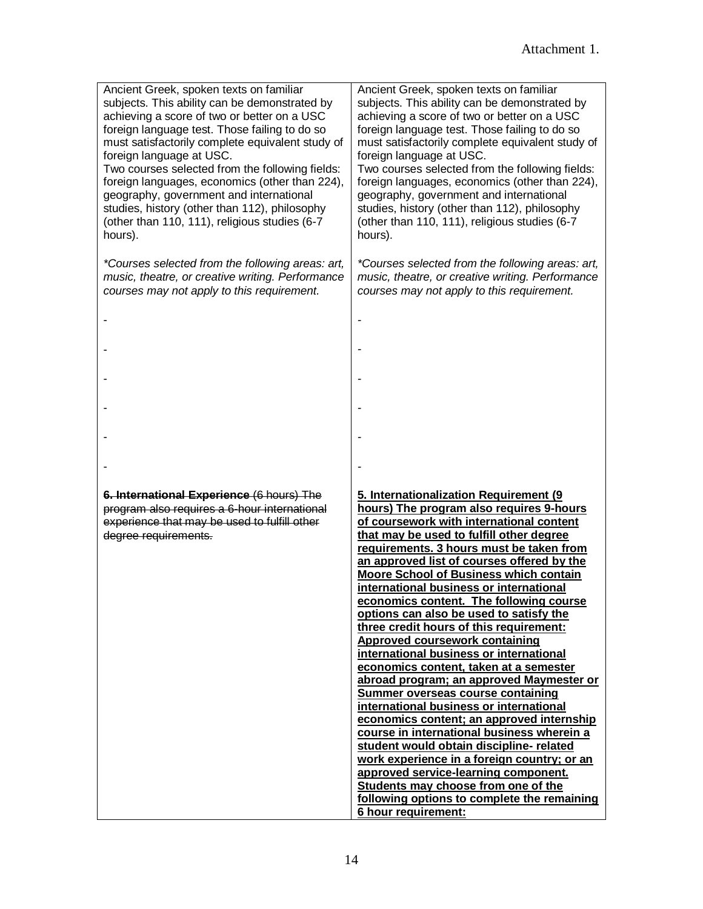| Ancient Greek, spoken texts on familiar<br>subjects. This ability can be demonstrated by<br>achieving a score of two or better on a USC<br>foreign language test. Those failing to do so<br>must satisfactorily complete equivalent study of<br>foreign language at USC.<br>Two courses selected from the following fields:<br>foreign languages, economics (other than 224),<br>geography, government and international<br>studies, history (other than 112), philosophy<br>(other than 110, 111), religious studies (6-7<br>hours). | Ancient Greek, spoken texts on familiar<br>subjects. This ability can be demonstrated by<br>achieving a score of two or better on a USC<br>foreign language test. Those failing to do so<br>must satisfactorily complete equivalent study of<br>foreign language at USC.<br>Two courses selected from the following fields:<br>foreign languages, economics (other than 224),<br>geography, government and international<br>studies, history (other than 112), philosophy<br>(other than 110, 111), religious studies (6-7<br>hours).                                                                                                                                                                                                                                                                                                                                                                                                                                                                                                                                                                  |
|---------------------------------------------------------------------------------------------------------------------------------------------------------------------------------------------------------------------------------------------------------------------------------------------------------------------------------------------------------------------------------------------------------------------------------------------------------------------------------------------------------------------------------------|--------------------------------------------------------------------------------------------------------------------------------------------------------------------------------------------------------------------------------------------------------------------------------------------------------------------------------------------------------------------------------------------------------------------------------------------------------------------------------------------------------------------------------------------------------------------------------------------------------------------------------------------------------------------------------------------------------------------------------------------------------------------------------------------------------------------------------------------------------------------------------------------------------------------------------------------------------------------------------------------------------------------------------------------------------------------------------------------------------|
| *Courses selected from the following areas: art,<br>music, theatre, or creative writing. Performance<br>courses may not apply to this requirement.                                                                                                                                                                                                                                                                                                                                                                                    | *Courses selected from the following areas: art,<br>music, theatre, or creative writing. Performance<br>courses may not apply to this requirement.                                                                                                                                                                                                                                                                                                                                                                                                                                                                                                                                                                                                                                                                                                                                                                                                                                                                                                                                                     |
|                                                                                                                                                                                                                                                                                                                                                                                                                                                                                                                                       |                                                                                                                                                                                                                                                                                                                                                                                                                                                                                                                                                                                                                                                                                                                                                                                                                                                                                                                                                                                                                                                                                                        |
|                                                                                                                                                                                                                                                                                                                                                                                                                                                                                                                                       |                                                                                                                                                                                                                                                                                                                                                                                                                                                                                                                                                                                                                                                                                                                                                                                                                                                                                                                                                                                                                                                                                                        |
|                                                                                                                                                                                                                                                                                                                                                                                                                                                                                                                                       |                                                                                                                                                                                                                                                                                                                                                                                                                                                                                                                                                                                                                                                                                                                                                                                                                                                                                                                                                                                                                                                                                                        |
|                                                                                                                                                                                                                                                                                                                                                                                                                                                                                                                                       |                                                                                                                                                                                                                                                                                                                                                                                                                                                                                                                                                                                                                                                                                                                                                                                                                                                                                                                                                                                                                                                                                                        |
|                                                                                                                                                                                                                                                                                                                                                                                                                                                                                                                                       |                                                                                                                                                                                                                                                                                                                                                                                                                                                                                                                                                                                                                                                                                                                                                                                                                                                                                                                                                                                                                                                                                                        |
|                                                                                                                                                                                                                                                                                                                                                                                                                                                                                                                                       |                                                                                                                                                                                                                                                                                                                                                                                                                                                                                                                                                                                                                                                                                                                                                                                                                                                                                                                                                                                                                                                                                                        |
| 6. International Experience (6 hours) The<br>program also requires a 6-hour international<br>experience that may be used to fulfill other<br>degree requirements.                                                                                                                                                                                                                                                                                                                                                                     | 5. Internationalization Requirement (9<br>hours) The program also requires 9-hours<br>of coursework with international content<br>that may be used to fulfill other degree<br>requirements. 3 hours must be taken from<br>an approved list of courses offered by the<br><b>Moore School of Business which contain</b><br>international business or international<br>economics content. The following course<br>options can also be used to satisfy the<br>three credit hours of this requirement:<br>Approved coursework containing<br>international business or international<br>economics content, taken at a semester<br>abroad program; an approved Maymester or<br><b>Summer overseas course containing</b><br>international business or international<br>economics content; an approved internship<br>course in international business wherein a<br>student would obtain discipline- related<br>work experience in a foreign country; or an<br>approved service-learning component.<br>Students may choose from one of the<br>following options to complete the remaining<br>6 hour requirement: |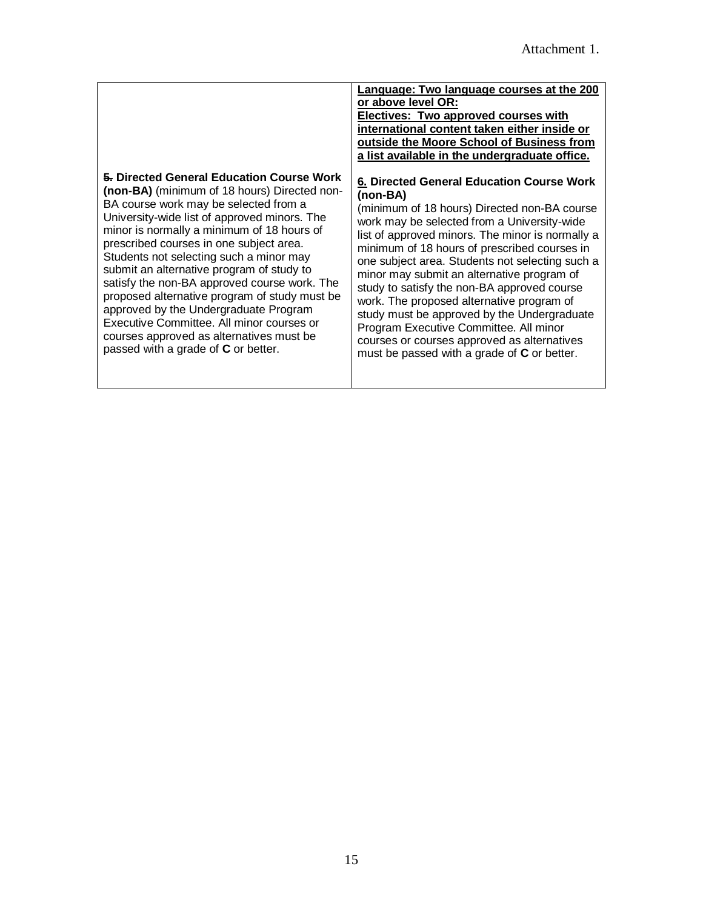|                                               | Language: Two language courses at the 200<br>or above level OR:<br>Electives: Two approved courses with<br>international content taken either inside or<br>outside the Moore School of Business from<br>a list available in the undergraduate office. |
|-----------------------------------------------|-------------------------------------------------------------------------------------------------------------------------------------------------------------------------------------------------------------------------------------------------------|
| 5. Directed General Education Course Work     | 6. Directed General Education Course Work                                                                                                                                                                                                             |
| (non-BA) (minimum of 18 hours) Directed non-  | (non-BA)                                                                                                                                                                                                                                              |
| BA course work may be selected from a         | (minimum of 18 hours) Directed non-BA course                                                                                                                                                                                                          |
| University-wide list of approved minors. The  | work may be selected from a University-wide                                                                                                                                                                                                           |
| minor is normally a minimum of 18 hours of    | list of approved minors. The minor is normally a                                                                                                                                                                                                      |
| prescribed courses in one subject area.       | minimum of 18 hours of prescribed courses in                                                                                                                                                                                                          |
| Students not selecting such a minor may       | one subject area. Students not selecting such a                                                                                                                                                                                                       |
| submit an alternative program of study to     | minor may submit an alternative program of                                                                                                                                                                                                            |
| satisfy the non-BA approved course work. The  | study to satisfy the non-BA approved course                                                                                                                                                                                                           |
| proposed alternative program of study must be | work. The proposed alternative program of                                                                                                                                                                                                             |
| approved by the Undergraduate Program         | study must be approved by the Undergraduate                                                                                                                                                                                                           |
| Executive Committee. All minor courses or     | Program Executive Committee. All minor                                                                                                                                                                                                                |
| courses approved as alternatives must be      | courses or courses approved as alternatives                                                                                                                                                                                                           |
| passed with a grade of C or better.           | must be passed with a grade of C or better.                                                                                                                                                                                                           |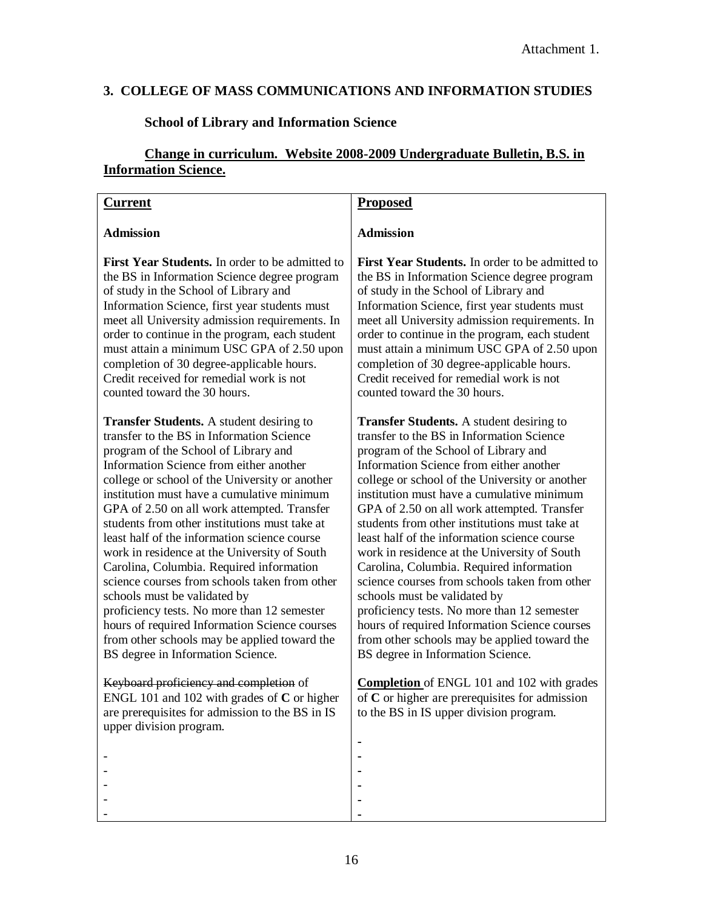# **3. COLLEGE OF MASS COMMUNICATIONS AND INFORMATION STUDIES**

# **School of Library and Information Science**

# **Change in curriculum. Website 2008-2009 Undergraduate Bulletin, B.S. in Information Science.**

| <b>Current</b>                                                                                                                                                                                                                                                                                                                                                                                                                                                                                                                                                                                                                                                                                                                                                                                    | <b>Proposed</b>                                                                                                                                                                                                                                                                                                                                                                                                                                                                                                                                                                                                                                                                                                                                                                                   |
|---------------------------------------------------------------------------------------------------------------------------------------------------------------------------------------------------------------------------------------------------------------------------------------------------------------------------------------------------------------------------------------------------------------------------------------------------------------------------------------------------------------------------------------------------------------------------------------------------------------------------------------------------------------------------------------------------------------------------------------------------------------------------------------------------|---------------------------------------------------------------------------------------------------------------------------------------------------------------------------------------------------------------------------------------------------------------------------------------------------------------------------------------------------------------------------------------------------------------------------------------------------------------------------------------------------------------------------------------------------------------------------------------------------------------------------------------------------------------------------------------------------------------------------------------------------------------------------------------------------|
| <b>Admission</b>                                                                                                                                                                                                                                                                                                                                                                                                                                                                                                                                                                                                                                                                                                                                                                                  | <b>Admission</b>                                                                                                                                                                                                                                                                                                                                                                                                                                                                                                                                                                                                                                                                                                                                                                                  |
| First Year Students. In order to be admitted to<br>the BS in Information Science degree program<br>of study in the School of Library and<br>Information Science, first year students must<br>meet all University admission requirements. In<br>order to continue in the program, each student<br>must attain a minimum USC GPA of 2.50 upon<br>completion of 30 degree-applicable hours.<br>Credit received for remedial work is not<br>counted toward the 30 hours.                                                                                                                                                                                                                                                                                                                              | First Year Students. In order to be admitted to<br>the BS in Information Science degree program<br>of study in the School of Library and<br>Information Science, first year students must<br>meet all University admission requirements. In<br>order to continue in the program, each student<br>must attain a minimum USC GPA of 2.50 upon<br>completion of 30 degree-applicable hours.<br>Credit received for remedial work is not<br>counted toward the 30 hours.                                                                                                                                                                                                                                                                                                                              |
| <b>Transfer Students.</b> A student desiring to<br>transfer to the BS in Information Science<br>program of the School of Library and<br>Information Science from either another<br>college or school of the University or another<br>institution must have a cumulative minimum<br>GPA of 2.50 on all work attempted. Transfer<br>students from other institutions must take at<br>least half of the information science course<br>work in residence at the University of South<br>Carolina, Columbia. Required information<br>science courses from schools taken from other<br>schools must be validated by<br>proficiency tests. No more than 12 semester<br>hours of required Information Science courses<br>from other schools may be applied toward the<br>BS degree in Information Science. | <b>Transfer Students.</b> A student desiring to<br>transfer to the BS in Information Science<br>program of the School of Library and<br>Information Science from either another<br>college or school of the University or another<br>institution must have a cumulative minimum<br>GPA of 2.50 on all work attempted. Transfer<br>students from other institutions must take at<br>least half of the information science course<br>work in residence at the University of South<br>Carolina, Columbia. Required information<br>science courses from schools taken from other<br>schools must be validated by<br>proficiency tests. No more than 12 semester<br>hours of required Information Science courses<br>from other schools may be applied toward the<br>BS degree in Information Science. |
| Keyboard proficiency and completion of<br>ENGL 101 and 102 with grades of $C$ or higher<br>are prerequisites for admission to the BS in IS<br>upper division program.                                                                                                                                                                                                                                                                                                                                                                                                                                                                                                                                                                                                                             | <b>Completion</b> of ENGL 101 and 102 with grades<br>of $C$ or higher are prerequisites for admission<br>to the BS in IS upper division program.                                                                                                                                                                                                                                                                                                                                                                                                                                                                                                                                                                                                                                                  |
|                                                                                                                                                                                                                                                                                                                                                                                                                                                                                                                                                                                                                                                                                                                                                                                                   |                                                                                                                                                                                                                                                                                                                                                                                                                                                                                                                                                                                                                                                                                                                                                                                                   |
|                                                                                                                                                                                                                                                                                                                                                                                                                                                                                                                                                                                                                                                                                                                                                                                                   |                                                                                                                                                                                                                                                                                                                                                                                                                                                                                                                                                                                                                                                                                                                                                                                                   |
|                                                                                                                                                                                                                                                                                                                                                                                                                                                                                                                                                                                                                                                                                                                                                                                                   |                                                                                                                                                                                                                                                                                                                                                                                                                                                                                                                                                                                                                                                                                                                                                                                                   |
|                                                                                                                                                                                                                                                                                                                                                                                                                                                                                                                                                                                                                                                                                                                                                                                                   |                                                                                                                                                                                                                                                                                                                                                                                                                                                                                                                                                                                                                                                                                                                                                                                                   |
|                                                                                                                                                                                                                                                                                                                                                                                                                                                                                                                                                                                                                                                                                                                                                                                                   |                                                                                                                                                                                                                                                                                                                                                                                                                                                                                                                                                                                                                                                                                                                                                                                                   |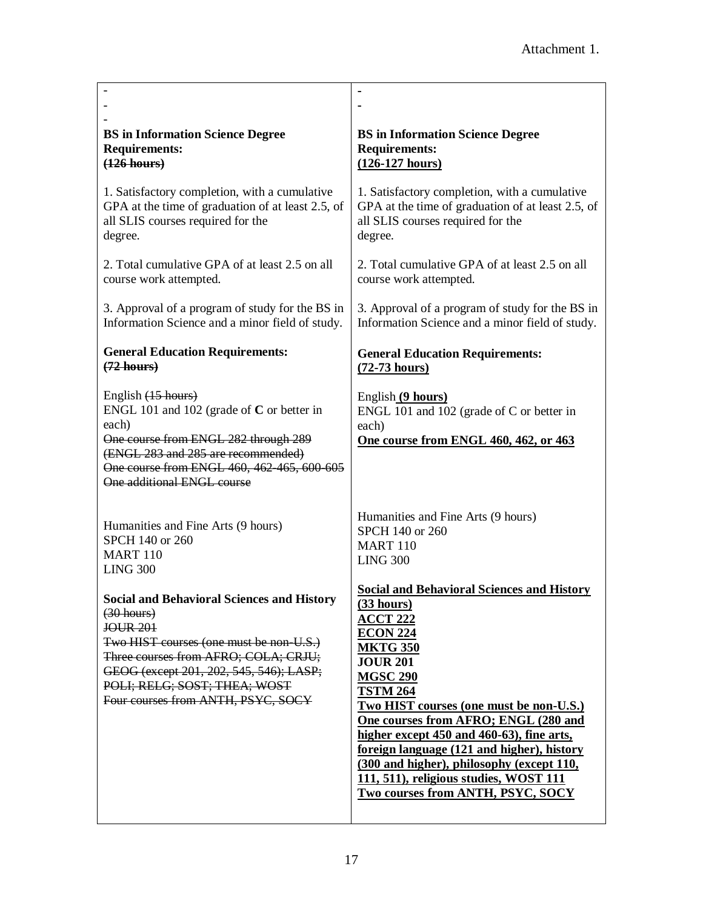| <b>BS</b> in Information Science Degree                                                                                                                                                                                                                                                  | <b>BS</b> in Information Science Degree                                                                                                                                                                                                                                                                                                                                                                                                                                                     |
|------------------------------------------------------------------------------------------------------------------------------------------------------------------------------------------------------------------------------------------------------------------------------------------|---------------------------------------------------------------------------------------------------------------------------------------------------------------------------------------------------------------------------------------------------------------------------------------------------------------------------------------------------------------------------------------------------------------------------------------------------------------------------------------------|
| <b>Requirements:</b>                                                                                                                                                                                                                                                                     | <b>Requirements:</b>                                                                                                                                                                                                                                                                                                                                                                                                                                                                        |
| $(126$ hours)                                                                                                                                                                                                                                                                            | $(126-127 \text{ hours})$                                                                                                                                                                                                                                                                                                                                                                                                                                                                   |
| 1. Satisfactory completion, with a cumulative                                                                                                                                                                                                                                            | 1. Satisfactory completion, with a cumulative                                                                                                                                                                                                                                                                                                                                                                                                                                               |
| GPA at the time of graduation of at least 2.5, of                                                                                                                                                                                                                                        | GPA at the time of graduation of at least 2.5, of                                                                                                                                                                                                                                                                                                                                                                                                                                           |
| all SLIS courses required for the                                                                                                                                                                                                                                                        | all SLIS courses required for the                                                                                                                                                                                                                                                                                                                                                                                                                                                           |
| degree.                                                                                                                                                                                                                                                                                  | degree.                                                                                                                                                                                                                                                                                                                                                                                                                                                                                     |
| 2. Total cumulative GPA of at least 2.5 on all                                                                                                                                                                                                                                           | 2. Total cumulative GPA of at least 2.5 on all                                                                                                                                                                                                                                                                                                                                                                                                                                              |
| course work attempted.                                                                                                                                                                                                                                                                   | course work attempted.                                                                                                                                                                                                                                                                                                                                                                                                                                                                      |
| 3. Approval of a program of study for the BS in                                                                                                                                                                                                                                          | 3. Approval of a program of study for the BS in                                                                                                                                                                                                                                                                                                                                                                                                                                             |
| Information Science and a minor field of study.                                                                                                                                                                                                                                          | Information Science and a minor field of study.                                                                                                                                                                                                                                                                                                                                                                                                                                             |
| <b>General Education Requirements:</b>                                                                                                                                                                                                                                                   | <b>General Education Requirements:</b>                                                                                                                                                                                                                                                                                                                                                                                                                                                      |
| $(72$ hours)                                                                                                                                                                                                                                                                             | $(72-73$ hours)                                                                                                                                                                                                                                                                                                                                                                                                                                                                             |
| English (15 hours)<br>ENGL 101 and 102 (grade of $C$ or better in<br>each)<br>One course from ENGL 282 through 289<br>(ENGL 283 and 285 are recommended)<br>One course from ENGL 460, 462-465, 600-605<br>One additional ENGL course                                                     | English (9 hours)<br>ENGL 101 and 102 (grade of $C$ or better in<br>each)<br>One course from ENGL 460, 462, or 463                                                                                                                                                                                                                                                                                                                                                                          |
| Humanities and Fine Arts (9 hours)                                                                                                                                                                                                                                                       | Humanities and Fine Arts (9 hours)                                                                                                                                                                                                                                                                                                                                                                                                                                                          |
| SPCH 140 or 260                                                                                                                                                                                                                                                                          | SPCH 140 or 260                                                                                                                                                                                                                                                                                                                                                                                                                                                                             |
| <b>MART 110</b>                                                                                                                                                                                                                                                                          | <b>MART 110</b>                                                                                                                                                                                                                                                                                                                                                                                                                                                                             |
| <b>LING 300</b>                                                                                                                                                                                                                                                                          | <b>LING 300</b>                                                                                                                                                                                                                                                                                                                                                                                                                                                                             |
| <b>Social and Behavioral Sciences and History</b><br>$(30$ hours)<br><b>JOUR 201</b><br>Two HIST courses (one must be non-U.S.)<br>Three courses from AFRO; COLA; CRJU;<br>GEOG (except 201, 202, 545, 546); LASP;<br>POLI; RELG; SOST; THEA; WOST<br>Four courses from ANTH, PSYC, SOCY | <b>Social and Behavioral Sciences and History</b><br>(33 hours)<br><b>ACCT 222</b><br><b>ECON 224</b><br><b>MKTG 350</b><br><b>JOUR 201</b><br><b>MGSC 290</b><br><b>TSTM 264</b><br>Two HIST courses (one must be non-U.S.)<br>One courses from AFRO; ENGL (280 and<br>higher except 450 and 460-63), fine arts,<br>foreign language (121 and higher), history<br>(300 and higher), philosophy (except 110,<br>111, 511), religious studies, WOST 111<br>Two courses from ANTH, PSYC, SOCY |